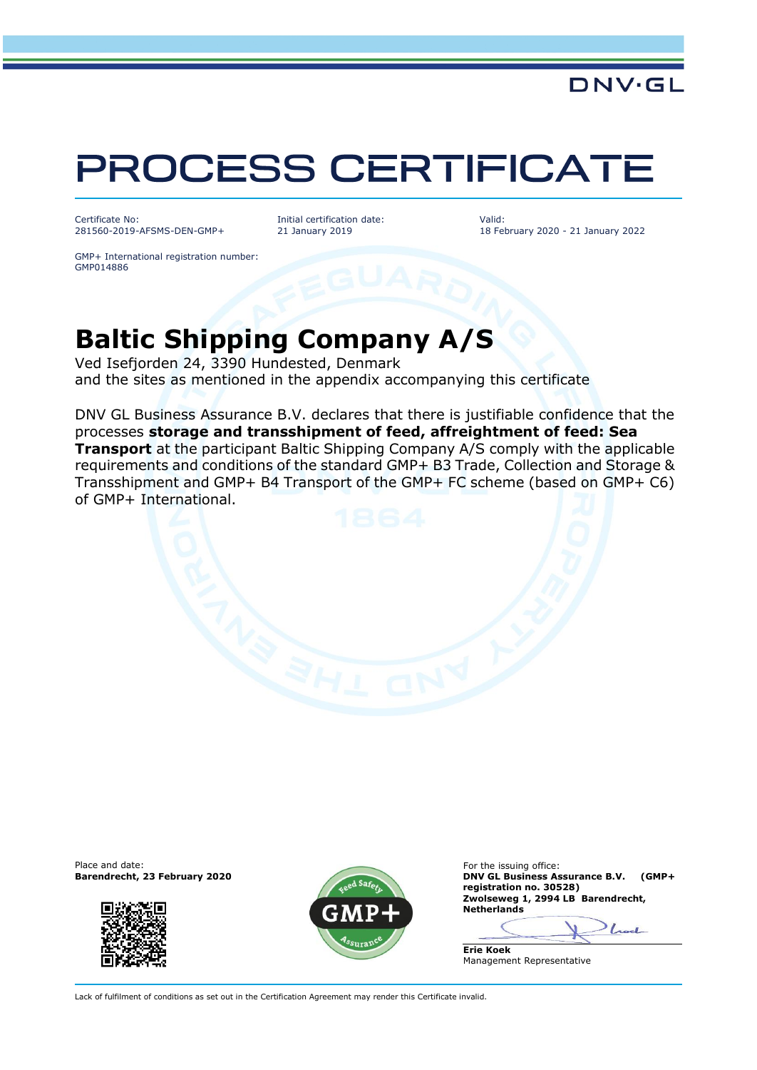## PROCESS CERTIFICATE

Certificate No: 281560-2019-AFSMS-DEN-GMP+ Initial certification date: 21 January 2019

Valid: 18 February 2020 - 21 January 2022

DNV·GL

GMP+ International registration number: GMP014886

## **Baltic Shipping Company A/S**

Ved Isefjorden 24, 3390 Hundested, Denmark and the sites as mentioned in the appendix accompanying this certificate

DNV GL Business Assurance B.V. declares that there is justifiable confidence that the processes **storage and transshipment of feed, affreightment of feed: Sea Transport** at the participant Baltic Shipping Company A/S comply with the applicable requirements and conditions of the standard GMP+ B3 Trade, Collection and Storage & Transshipment and GMP+ B4 Transport of the GMP+ FC scheme (based on GMP+ C6) of GMP+ International.







**BAY GL Business Assurance B.V. (GMP+ registration no. 30528)** Zwolseweg 1, 2994 LB Barendrecht, **Netherlands**

 $L_{\rm{ext}}$ **Erie Koek**

Management Representative

Lack of fulfilment of conditions as set out in the Certification Agreement may render this Certificate invalid.